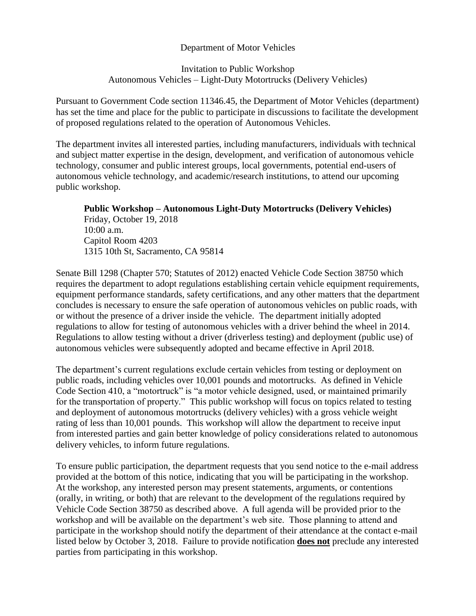## Department of Motor Vehicles

## Invitation to Public Workshop Autonomous Vehicles – Light-Duty Motortrucks (Delivery Vehicles)

Pursuant to Government Code section 11346.45, the Department of Motor Vehicles (department) has set the time and place for the public to participate in discussions to facilitate the development of proposed regulations related to the operation of Autonomous Vehicles.

The department invites all interested parties, including manufacturers, individuals with technical and subject matter expertise in the design, development, and verification of autonomous vehicle technology, consumer and public interest groups, local governments, potential end-users of autonomous vehicle technology, and academic/research institutions, to attend our upcoming public workshop.

**Public Workshop – Autonomous Light-Duty Motortrucks (Delivery Vehicles)** Friday, October 19, 2018 10:00 a.m. Capitol Room 4203 1315 10th St, Sacramento, CA 95814

Senate Bill 1298 (Chapter 570; Statutes of 2012) enacted Vehicle Code Section 38750 which requires the department to adopt regulations establishing certain vehicle equipment requirements, equipment performance standards, safety certifications, and any other matters that the department concludes is necessary to ensure the safe operation of autonomous vehicles on public roads, with or without the presence of a driver inside the vehicle. The department initially adopted regulations to allow for testing of autonomous vehicles with a driver behind the wheel in 2014. Regulations to allow testing without a driver (driverless testing) and deployment (public use) of autonomous vehicles were subsequently adopted and became effective in April 2018.

The department's current regulations exclude certain vehicles from testing or deployment on public roads, including vehicles over 10,001 pounds and motortrucks. As defined in Vehicle Code Section 410, a "motortruck" is "a motor vehicle designed, used, or maintained primarily for the transportation of property." This public workshop will focus on topics related to testing and deployment of autonomous motortrucks (delivery vehicles) with a gross vehicle weight rating of less than 10,001 pounds. This workshop will allow the department to receive input from interested parties and gain better knowledge of policy considerations related to autonomous delivery vehicles, to inform future regulations.

To ensure public participation, the department requests that you send notice to the e-mail address provided at the bottom of this notice, indicating that you will be participating in the workshop. At the workshop, any interested person may present statements, arguments, or contentions (orally, in writing, or both) that are relevant to the development of the regulations required by Vehicle Code Section 38750 as described above. A full agenda will be provided prior to the workshop and will be available on the department's web site. Those planning to attend and participate in the workshop should notify the department of their attendance at the contact e-mail listed below by October 3, 2018. Failure to provide notification **does not** preclude any interested parties from participating in this workshop.